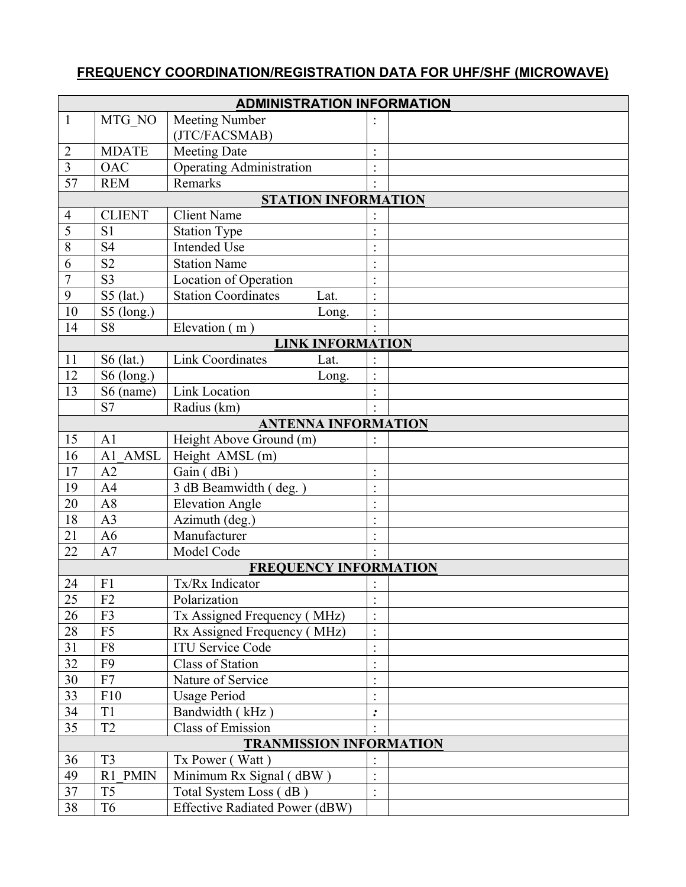## **FREQUENCY COORDINATION/REGISTRATION DATA FOR UHF/SHF (MICROWAVE)**

| <b>ADMINISTRATION INFORMATION</b> |                   |                                       |                          |  |  |  |  |  |
|-----------------------------------|-------------------|---------------------------------------|--------------------------|--|--|--|--|--|
| $\mathbf{1}$                      | MTG NO            | Meeting Number                        |                          |  |  |  |  |  |
|                                   |                   | (JTC/FACSMAB)                         |                          |  |  |  |  |  |
| $\overline{2}$                    | <b>MDATE</b>      | <b>Meeting Date</b>                   | $\cdot$                  |  |  |  |  |  |
| $\overline{\mathbf{3}}$           | <b>OAC</b>        | <b>Operating Administration</b>       |                          |  |  |  |  |  |
| $\overline{57}$                   | <b>REM</b>        | Remarks                               |                          |  |  |  |  |  |
| <b>STATION INFORMATION</b>        |                   |                                       |                          |  |  |  |  |  |
| 4                                 | <b>CLIENT</b>     | <b>Client Name</b>                    |                          |  |  |  |  |  |
| 5                                 | S <sub>1</sub>    | <b>Station Type</b>                   |                          |  |  |  |  |  |
| 8                                 | S <sub>4</sub>    | <b>Intended Use</b>                   |                          |  |  |  |  |  |
| 6                                 | S <sub>2</sub>    | <b>Station Name</b>                   |                          |  |  |  |  |  |
| $\overline{7}$                    | S <sub>3</sub>    | Location of Operation                 |                          |  |  |  |  |  |
| 9                                 | $S5$ (lat.)       | <b>Station Coordinates</b><br>Lat.    |                          |  |  |  |  |  |
| 10                                | $S5$ (long.)      | Long.                                 | $\ddot{\cdot}$           |  |  |  |  |  |
| 14                                | S <sub>8</sub>    | Elevation (m)                         | $\ddot{\phantom{0}}$     |  |  |  |  |  |
| <b>LINK INFORMATION</b>           |                   |                                       |                          |  |  |  |  |  |
| 11                                | $S6$ (lat.)       | <b>Link Coordinates</b><br>Lat.       |                          |  |  |  |  |  |
| 12                                | $S6$ (long.)      | Long.                                 |                          |  |  |  |  |  |
| 13                                | S6 (name)         | <b>Link Location</b>                  | $\cdot$                  |  |  |  |  |  |
|                                   | S <sub>7</sub>    | Radius (km)                           |                          |  |  |  |  |  |
|                                   |                   | <b>ANTENNA INFORMATION</b>            |                          |  |  |  |  |  |
| 15                                | A <sub>1</sub>    | Height Above Ground $\overline{(m)}$  |                          |  |  |  |  |  |
| 16                                | <b>AMSL</b><br>A1 | Height AMSL (m)                       |                          |  |  |  |  |  |
| 17                                | A2                | Gain (dBi)                            | $\bullet$                |  |  |  |  |  |
| 19                                | A <sub>4</sub>    | 3 dB Beamwidth (deg.)                 |                          |  |  |  |  |  |
| 20                                | A8                | <b>Elevation Angle</b>                |                          |  |  |  |  |  |
| 18                                | A <sub>3</sub>    | Azimuth (deg.)                        | $\ddot{\phantom{a}}$     |  |  |  |  |  |
| 21                                | A <sub>6</sub>    | Manufacturer                          |                          |  |  |  |  |  |
| 22                                | A7                | Model Code                            |                          |  |  |  |  |  |
| <b>FREQUENCY INFORMATION</b>      |                   |                                       |                          |  |  |  |  |  |
| 24                                | F1                | Tx/Rx Indicator                       |                          |  |  |  |  |  |
| 25                                | F <sub>2</sub>    | Polarization                          |                          |  |  |  |  |  |
| 26                                | F3                | Tx Assigned Frequency (MHz)           | $\cdot$                  |  |  |  |  |  |
| $28\,$                            | ${\rm F}5$        | Rx Assigned Frequency (MHz)           | $\ddot{\cdot}$           |  |  |  |  |  |
| 31                                | F <sub>8</sub>    | <b>ITU Service Code</b>               | $\cdot$                  |  |  |  |  |  |
| 32                                | F <sub>9</sub>    | Class of Station                      | $\cdot$                  |  |  |  |  |  |
| $30\,$                            | F7                | Nature of Service                     | $\ddot{\phantom{0}}$     |  |  |  |  |  |
| 33                                | F10               | <b>Usage Period</b>                   |                          |  |  |  |  |  |
| 34                                | T <sub>1</sub>    | Bandwidth (kHz)                       | .<br>$\ddot{\! \bullet}$ |  |  |  |  |  |
| 35                                | T <sub>2</sub>    | <b>Class of Emission</b>              |                          |  |  |  |  |  |
| <b>TRANMISSION INFORMATION</b>    |                   |                                       |                          |  |  |  |  |  |
| 36                                | T <sub>3</sub>    | Tx Power (Watt)                       |                          |  |  |  |  |  |
| 49                                | R1 PMIN           | Minimum Rx Signal (dBW)               |                          |  |  |  |  |  |
| 37                                | T <sub>5</sub>    | Total System Loss (dB)                | $\ddot{\phantom{0}}$     |  |  |  |  |  |
| 38                                | T <sub>6</sub>    | <b>Effective Radiated Power (dBW)</b> |                          |  |  |  |  |  |